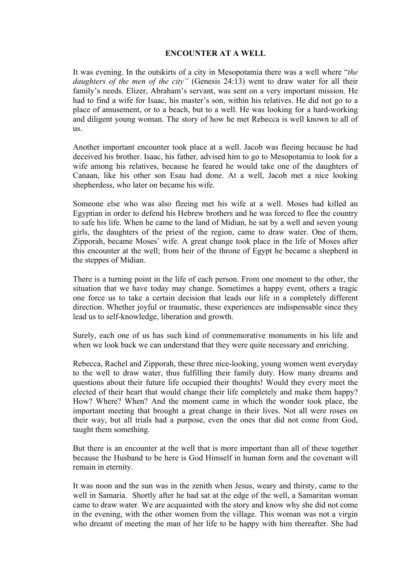## **ENCOUNTER AT A WELL**

It was evening. In the outskirts of a city in Mesopotamia there was a well where "*the daughters of the men of the city"* (Genesis 24:13) went to draw water for all their family's needs. Elizer, Abraham's servant, was sent on a very important mission. He had to find a wife for Isaac, his master's son, within his relatives. He did not go to a place of amusement, or to a beach, but to a well. He was looking for a hard-working and diligent young woman. The story of how he met Rebecca is well known to all of us.

Another important encounter took place at a well. Jacob was fleeing because he had deceived his brother. Isaac, his father, advised him to go to Mesopotamia to look for a wife among his relatives, because he feared he would take one of the daughters of Canaan, like his other son Esau had done. At a well, Jacob met a nice looking shepherdess, who later on became his wife.

Someone else who was also fleeing met his wife at a well. Moses had killed an Egyptian in order to defend his Hebrew brothers and he was forced to flee the country to safe his life. When he came to the land of Midian, he sat by a well and seven young girls, the daughters of the priest of the region, came to draw water. One of them, Zipporah, became Moses' wife. A great change took place in the life of Moses after this encounter at the well; from heir of the throne of Egypt he became a shepherd in the steppes of Midian.

There is a turning point in the life of each person. From one moment to the other, the situation that we have today may change. Sometimes a happy event, others a tragic one force us to take a certain decision that leads our life in a completely different direction. Whether joyful or traumatic, these experiences are indispensable since they lead us to self-knowledge, liberation and growth.

Surely, each one of us has such kind of commemorative monuments in his life and when we look back we can understand that they were quite necessary and enriching.

Rebecca, Rachel and Zipporah, these three nice-looking, young women went everyday to the well to draw water, thus fulfilling their family duty. How many dreams and questions about their future life occupied their thoughts! Would they every meet the elected of their heart that would change their life completely and make them happy? How? Where? When? And the moment came in which the wonder took place, the important meeting that brought a great change in their lives. Not all were roses on their way, but all trials had a purpose, even the ones that did not come from God, taught them something.

But there is an encounter at the well that is more important than all of these together because the Husband to be here is God Himself in human form and the covenant will remain in eternity.

It was noon and the sun was in the zenith when Jesus, weary and thirsty, came to the well in Samaria. Shortly after he had sat at the edge of the well, a Samaritan woman came to draw water. We are acquainted with the story and know why she did not come in the evening, with the other women from the village. This woman was not a virgin who dreamt of meeting the man of her life to be happy with him thereafter. She had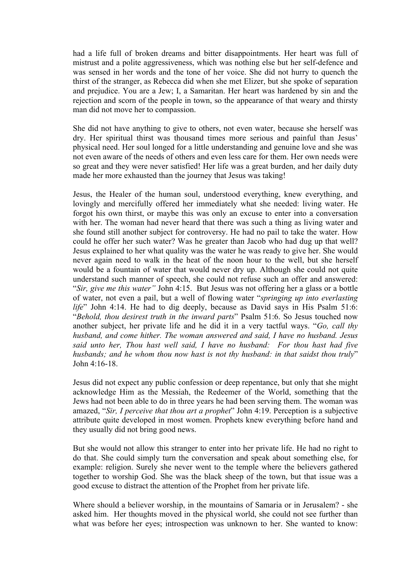had a life full of broken dreams and bitter disappointments. Her heart was full of mistrust and a polite aggressiveness, which was nothing else but her self-defence and was sensed in her words and the tone of her voice. She did not hurry to quench the thirst of the stranger, as Rebecca did when she met Elizer, but she spoke of separation and prejudice. You are a Jew; I, a Samaritan. Her heart was hardened by sin and the rejection and scorn of the people in town, so the appearance of that weary and thirsty man did not move her to compassion.

She did not have anything to give to others, not even water, because she herself was dry. Her spiritual thirst was thousand times more serious and painful than Jesus' physical need. Her soul longed for a little understanding and genuine love and she was not even aware of the needs of others and even less care for them. Her own needs were so great and they were never satisfied! Her life was a great burden, and her daily duty made her more exhausted than the journey that Jesus was taking!

Jesus, the Healer of the human soul, understood everything, knew everything, and lovingly and mercifully offered her immediately what she needed: living water. He forgot his own thirst, or maybe this was only an excuse to enter into a conversation with her. The woman had never heard that there was such a thing as living water and she found still another subject for controversy. He had no pail to take the water. How could he offer her such water? Was he greater than Jacob who had dug up that well? Jesus explained to her what quality was the water he was ready to give her. She would never again need to walk in the heat of the noon hour to the well, but she herself would be a fountain of water that would never dry up. Although she could not quite understand such manner of speech, she could not refuse such an offer and answered: "*Sir, give me this water"* John 4:15. But Jesus was not offering her a glass or a bottle of water, not even a pail, but a well of flowing water "*springing up into everlasting life*" John 4:14. He had to dig deeply, because as David says in His Psalm 51:6: "*Behold, thou desirest truth in the inward parts*" Psalm 51:6. So Jesus touched now another subject, her private life and he did it in a very tactful ways. "*Go, call thy husband, and come hither. The woman answered and said, I have no husband. Jesus said unto her, Thou hast well said, I have no husband: For thou hast had five husbands; and he whom thou now hast is not thy husband: in that saidst thou truly*" John 4:16-18.

Jesus did not expect any public confession or deep repentance, but only that she might acknowledge Him as the Messiah, the Redeemer of the World, something that the Jews had not been able to do in three years he had been serving them. The woman was amazed, "*Sir, I perceive that thou art a prophet*" John 4:19. Perception is a subjective attribute quite developed in most women. Prophets knew everything before hand and they usually did not bring good news.

But she would not allow this stranger to enter into her private life. He had no right to do that. She could simply turn the conversation and speak about something else, for example: religion. Surely she never went to the temple where the believers gathered together to worship God. She was the black sheep of the town, but that issue was a good excuse to distract the attention of the Prophet from her private life.

Where should a believer worship, in the mountains of Samaria or in Jerusalem? - she asked him. Her thoughts moved in the physical world, she could not see further than what was before her eyes; introspection was unknown to her. She wanted to know: